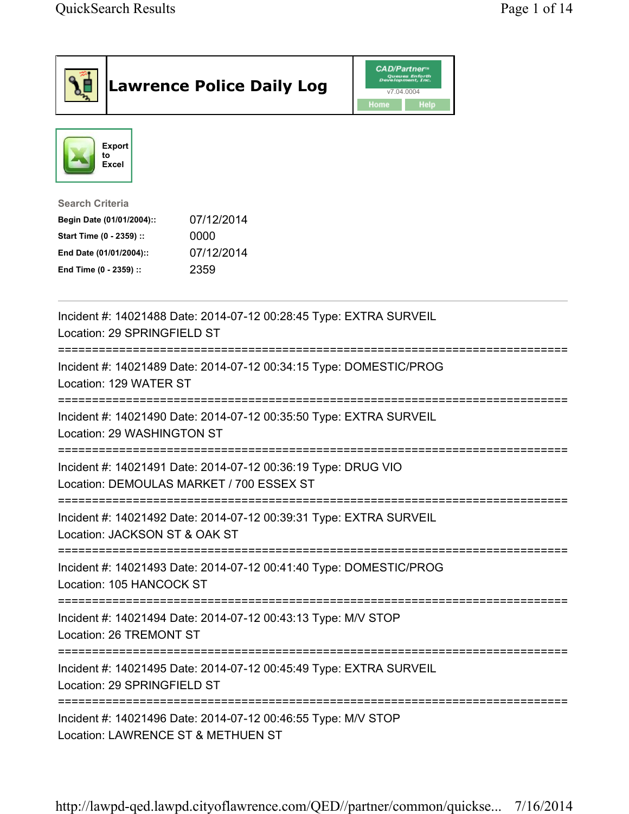| <b>Lawrence Police Daily Log</b>                                                                                                                                                 | <b>CAD/Partner</b> ®<br>Queues Enforth<br>Development, Inc.<br>v7.04.0004<br>Home<br>Help |  |
|----------------------------------------------------------------------------------------------------------------------------------------------------------------------------------|-------------------------------------------------------------------------------------------|--|
| <b>Export</b><br>to<br><b>Excel</b>                                                                                                                                              |                                                                                           |  |
| <b>Search Criteria</b><br>07/12/2014<br>Begin Date (01/01/2004)::<br>Start Time (0 - 2359) ::<br>0000<br>07/12/2014<br>End Date (01/01/2004)::<br>End Time (0 - 2359) ::<br>2359 |                                                                                           |  |
| Incident #: 14021488 Date: 2014-07-12 00:28:45 Type: EXTRA SURVEIL<br>Location: 29 SPRINGFIELD ST                                                                                |                                                                                           |  |
| Incident #: 14021489 Date: 2014-07-12 00:34:15 Type: DOMESTIC/PROG<br>Location: 129 WATER ST                                                                                     |                                                                                           |  |
| Incident #: 14021490 Date: 2014-07-12 00:35:50 Type: EXTRA SURVEIL<br>Location: 29 WASHINGTON ST                                                                                 |                                                                                           |  |
| Incident #: 14021491 Date: 2014-07-12 00:36:19 Type: DRUG VIO<br>Location: DEMOULAS MARKET / 700 ESSEX ST                                                                        |                                                                                           |  |
| Incident #: 14021492 Date: 2014-07-12 00:39:31 Type: EXTRA SURVEIL<br>Location: JACKSON ST & OAK ST                                                                              |                                                                                           |  |
| Incident #: 14021493 Date: 2014-07-12 00:41:40 Type: DOMESTIC/PROG<br>Location: 105 HANCOCK ST                                                                                   |                                                                                           |  |
| Incident #: 14021494 Date: 2014-07-12 00:43:13 Type: M/V STOP<br>Location: 26 TREMONT ST                                                                                         |                                                                                           |  |
| Incident #: 14021495 Date: 2014-07-12 00:45:49 Type: EXTRA SURVEIL<br>Location: 29 SPRINGFIELD ST                                                                                |                                                                                           |  |
| Incident #: 14021496 Date: 2014-07-12 00:46:55 Type: M/V STOP<br>Location: LAWRENCE ST & METHUEN ST                                                                              |                                                                                           |  |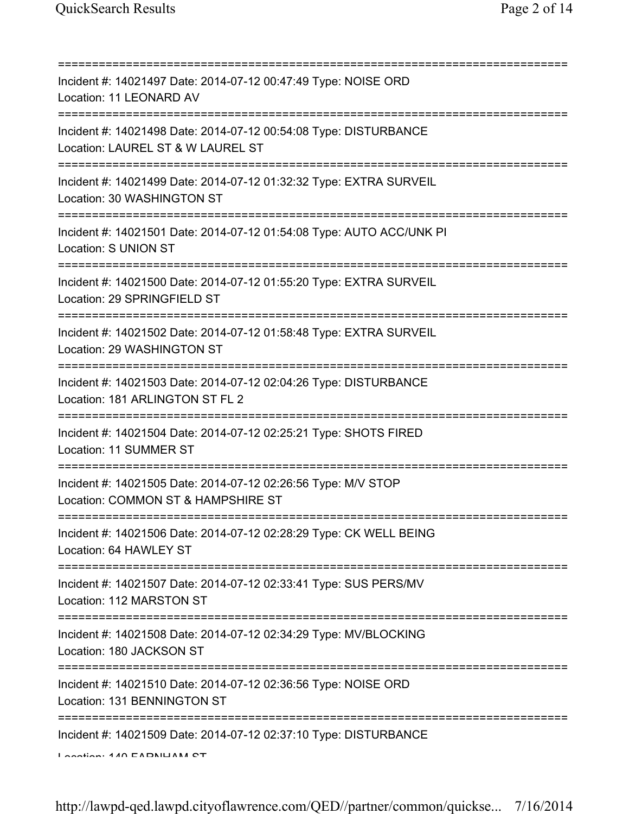| Incident #: 14021497 Date: 2014-07-12 00:47:49 Type: NOISE ORD<br>Location: 11 LEONARD AV                                                 |
|-------------------------------------------------------------------------------------------------------------------------------------------|
| Incident #: 14021498 Date: 2014-07-12 00:54:08 Type: DISTURBANCE<br>Location: LAUREL ST & W LAUREL ST                                     |
| Incident #: 14021499 Date: 2014-07-12 01:32:32 Type: EXTRA SURVEIL<br>Location: 30 WASHINGTON ST<br>===================================== |
| Incident #: 14021501 Date: 2014-07-12 01:54:08 Type: AUTO ACC/UNK PI<br>Location: S UNION ST                                              |
| Incident #: 14021500 Date: 2014-07-12 01:55:20 Type: EXTRA SURVEIL<br>Location: 29 SPRINGFIELD ST                                         |
| ============================<br>Incident #: 14021502 Date: 2014-07-12 01:58:48 Type: EXTRA SURVEIL<br>Location: 29 WASHINGTON ST          |
| Incident #: 14021503 Date: 2014-07-12 02:04:26 Type: DISTURBANCE<br>Location: 181 ARLINGTON ST FL 2<br>:===========                       |
| Incident #: 14021504 Date: 2014-07-12 02:25:21 Type: SHOTS FIRED<br>Location: 11 SUMMER ST<br>-==============================             |
| Incident #: 14021505 Date: 2014-07-12 02:26:56 Type: M/V STOP<br>Location: COMMON ST & HAMPSHIRE ST                                       |
| Incident #: 14021506 Date: 2014-07-12 02:28:29 Type: CK WELL BEING<br>Location: 64 HAWLEY ST                                              |
| Incident #: 14021507 Date: 2014-07-12 02:33:41 Type: SUS PERS/MV<br>Location: 112 MARSTON ST                                              |
| =====================================<br>Incident #: 14021508 Date: 2014-07-12 02:34:29 Type: MV/BLOCKING<br>Location: 180 JACKSON ST     |
| ===============================<br>Incident #: 14021510 Date: 2014-07-12 02:36:56 Type: NOISE ORD<br>Location: 131 BENNINGTON ST          |
| Incident #: 14021509 Date: 2014-07-12 02:37:10 Type: DISTURBANCE<br>$I$ and $I$ and $I$ and $I$ and $I$ and $I$ and $I$ and $I$ are $I$   |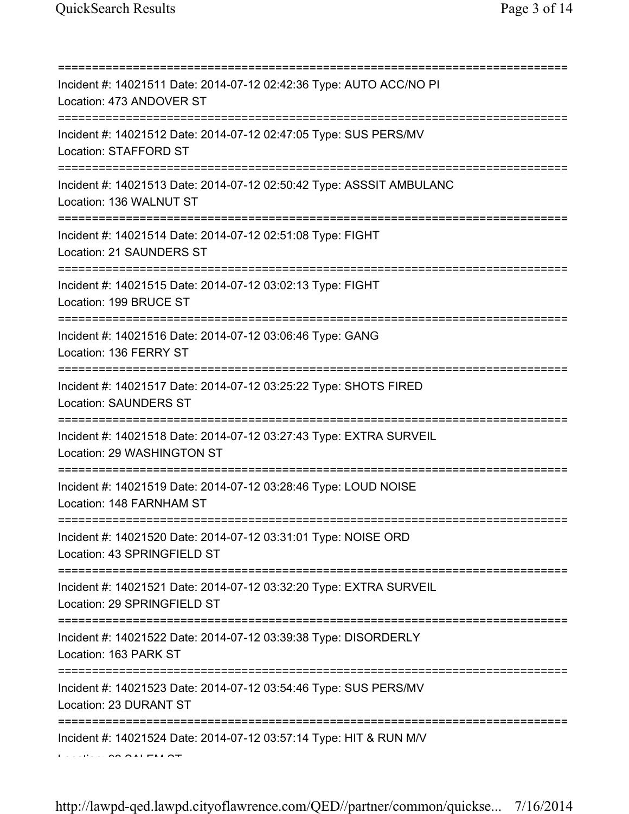| =========<br>Incident #: 14021511 Date: 2014-07-12 02:42:36 Type: AUTO ACC/NO PI<br>Location: 473 ANDOVER ST                    |
|---------------------------------------------------------------------------------------------------------------------------------|
| Incident #: 14021512 Date: 2014-07-12 02:47:05 Type: SUS PERS/MV<br>Location: STAFFORD ST                                       |
| Incident #: 14021513 Date: 2014-07-12 02:50:42 Type: ASSSIT AMBULANC<br>Location: 136 WALNUT ST                                 |
| =====================================<br>Incident #: 14021514 Date: 2014-07-12 02:51:08 Type: FIGHT<br>Location: 21 SAUNDERS ST |
| ;===============================<br>Incident #: 14021515 Date: 2014-07-12 03:02:13 Type: FIGHT<br>Location: 199 BRUCE ST        |
| Incident #: 14021516 Date: 2014-07-12 03:06:46 Type: GANG<br>Location: 136 FERRY ST                                             |
| Incident #: 14021517 Date: 2014-07-12 03:25:22 Type: SHOTS FIRED<br><b>Location: SAUNDERS ST</b>                                |
| ====================<br>Incident #: 14021518 Date: 2014-07-12 03:27:43 Type: EXTRA SURVEIL<br>Location: 29 WASHINGTON ST        |
| Incident #: 14021519 Date: 2014-07-12 03:28:46 Type: LOUD NOISE<br>Location: 148 FARNHAM ST                                     |
| Incident #: 14021520 Date: 2014-07-12 03:31:01 Type: NOISE ORD<br>Location: 43 SPRINGFIELD ST                                   |
| =========================<br>Incident #: 14021521 Date: 2014-07-12 03:32:20 Type: EXTRA SURVEIL<br>Location: 29 SPRINGFIELD ST  |
| Incident #: 14021522 Date: 2014-07-12 03:39:38 Type: DISORDERLY<br>Location: 163 PARK ST                                        |
| Incident #: 14021523 Date: 2014-07-12 03:54:46 Type: SUS PERS/MV<br>Location: 23 DURANT ST                                      |
| Incident #: 14021524 Date: 2014-07-12 03:57:14 Type: HIT & RUN M/V                                                              |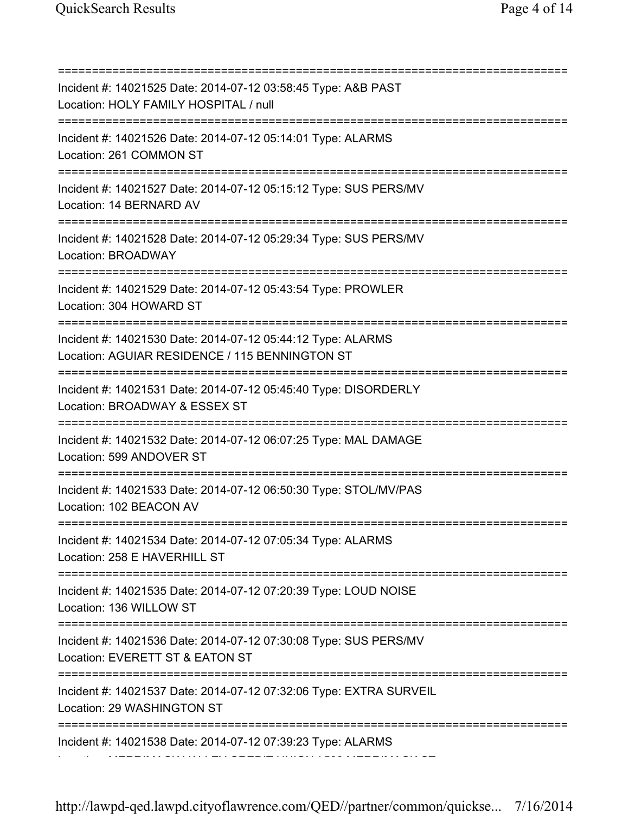=========================================================================== Incident #: 14021525 Date: 2014-07-12 03:58:45 Type: A&B PAST Location: HOLY FAMILY HOSPITAL / null =========================================================================== Incident #: 14021526 Date: 2014-07-12 05:14:01 Type: ALARMS Location: 261 COMMON ST =========================================================================== Incident #: 14021527 Date: 2014-07-12 05:15:12 Type: SUS PERS/MV Location: 14 BERNARD AV =========================================================================== Incident #: 14021528 Date: 2014-07-12 05:29:34 Type: SUS PERS/MV Location: BROADWAY =========================================================================== Incident #: 14021529 Date: 2014-07-12 05:43:54 Type: PROWLER Location: 304 HOWARD ST =========================================================================== Incident #: 14021530 Date: 2014-07-12 05:44:12 Type: ALARMS Location: AGUIAR RESIDENCE / 115 BENNINGTON ST =========================================================================== Incident #: 14021531 Date: 2014-07-12 05:45:40 Type: DISORDERLY Location: BROADWAY & ESSEX ST =========================================================================== Incident #: 14021532 Date: 2014-07-12 06:07:25 Type: MAL DAMAGE Location: 599 ANDOVER ST =========================================================================== Incident #: 14021533 Date: 2014-07-12 06:50:30 Type: STOL/MV/PAS Location: 102 BEACON AV =========================================================================== Incident #: 14021534 Date: 2014-07-12 07:05:34 Type: ALARMS Location: 258 E HAVERHILL ST =========================================================================== Incident #: 14021535 Date: 2014-07-12 07:20:39 Type: LOUD NOISE Location: 136 WILLOW ST =========================================================================== Incident #: 14021536 Date: 2014-07-12 07:30:08 Type: SUS PERS/MV Location: EVERETT ST & EATON ST =========================================================================== Incident #: 14021537 Date: 2014-07-12 07:32:06 Type: EXTRA SURVEIL Location: 29 WASHINGTON ST =========================================================================== Incident #: 14021538 Date: 2014-07-12 07:39:23 Type: ALARMS Location: MERRIMACK VALLEY CREDIT UNION / 500 MERRIMACK ST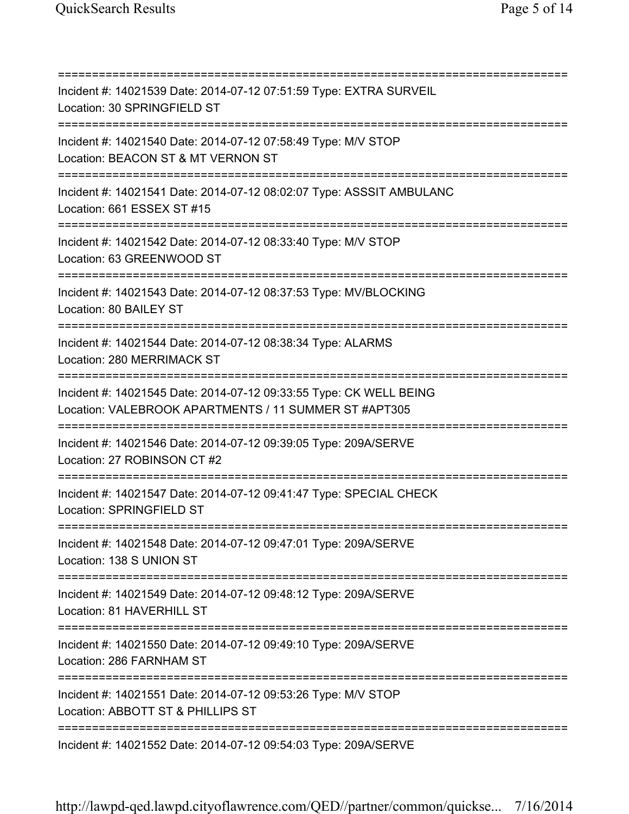=========================================================================== Incident #: 14021539 Date: 2014-07-12 07:51:59 Type: EXTRA SURVEIL Location: 30 SPRINGFIELD ST =========================================================================== Incident #: 14021540 Date: 2014-07-12 07:58:49 Type: M/V STOP Location: BEACON ST & MT VERNON ST =========================================================================== Incident #: 14021541 Date: 2014-07-12 08:02:07 Type: ASSSIT AMBULANC Location: 661 ESSEX ST #15 =========================================================================== Incident #: 14021542 Date: 2014-07-12 08:33:40 Type: M/V STOP Location: 63 GREENWOOD ST =========================================================================== Incident #: 14021543 Date: 2014-07-12 08:37:53 Type: MV/BLOCKING Location: 80 BAILEY ST =========================================================================== Incident #: 14021544 Date: 2014-07-12 08:38:34 Type: ALARMS Location: 280 MERRIMACK ST =========================================================================== Incident #: 14021545 Date: 2014-07-12 09:33:55 Type: CK WELL BEING Location: VALEBROOK APARTMENTS / 11 SUMMER ST #APT305 =========================================================================== Incident #: 14021546 Date: 2014-07-12 09:39:05 Type: 209A/SERVE Location: 27 ROBINSON CT #2 =========================================================================== Incident #: 14021547 Date: 2014-07-12 09:41:47 Type: SPECIAL CHECK Location: SPRINGFIELD ST =========================================================================== Incident #: 14021548 Date: 2014-07-12 09:47:01 Type: 209A/SERVE Location: 138 S UNION ST =========================================================================== Incident #: 14021549 Date: 2014-07-12 09:48:12 Type: 209A/SERVE Location: 81 HAVERHILL ST =========================================================================== Incident #: 14021550 Date: 2014-07-12 09:49:10 Type: 209A/SERVE Location: 286 FARNHAM ST =========================================================================== Incident #: 14021551 Date: 2014-07-12 09:53:26 Type: M/V STOP Location: ABBOTT ST & PHILLIPS ST =========================================================================== Incident #: 14021552 Date: 2014-07-12 09:54:03 Type: 209A/SERVE

http://lawpd-qed.lawpd.cityoflawrence.com/QED//partner/common/quickse... 7/16/2014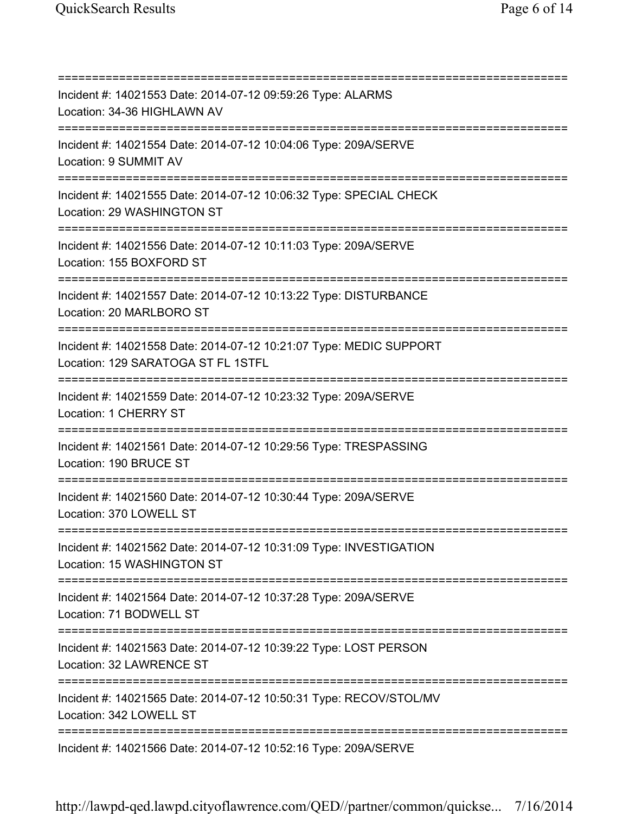=========================================================================== Incident #: 14021553 Date: 2014-07-12 09:59:26 Type: ALARMS Location: 34-36 HIGHLAWN AV =========================================================================== Incident #: 14021554 Date: 2014-07-12 10:04:06 Type: 209A/SERVE Location: 9 SUMMIT AV =========================================================================== Incident #: 14021555 Date: 2014-07-12 10:06:32 Type: SPECIAL CHECK Location: 29 WASHINGTON ST =========================================================================== Incident #: 14021556 Date: 2014-07-12 10:11:03 Type: 209A/SERVE Location: 155 BOXFORD ST =========================================================================== Incident #: 14021557 Date: 2014-07-12 10:13:22 Type: DISTURBANCE Location: 20 MARLBORO ST =========================================================================== Incident #: 14021558 Date: 2014-07-12 10:21:07 Type: MEDIC SUPPORT Location: 129 SARATOGA ST FL 1STFL =========================================================================== Incident #: 14021559 Date: 2014-07-12 10:23:32 Type: 209A/SERVE Location: 1 CHERRY ST =========================================================================== Incident #: 14021561 Date: 2014-07-12 10:29:56 Type: TRESPASSING Location: 190 BRUCE ST =========================================================================== Incident #: 14021560 Date: 2014-07-12 10:30:44 Type: 209A/SERVE Location: 370 LOWELL ST =========================================================================== Incident #: 14021562 Date: 2014-07-12 10:31:09 Type: INVESTIGATION Location: 15 WASHINGTON ST =========================================================================== Incident #: 14021564 Date: 2014-07-12 10:37:28 Type: 209A/SERVE Location: 71 BODWELL ST =========================================================================== Incident #: 14021563 Date: 2014-07-12 10:39:22 Type: LOST PERSON Location: 32 LAWRENCE ST =========================================================================== Incident #: 14021565 Date: 2014-07-12 10:50:31 Type: RECOV/STOL/MV Location: 342 LOWELL ST =========================================================================== Incident #: 14021566 Date: 2014-07-12 10:52:16 Type: 209A/SERVE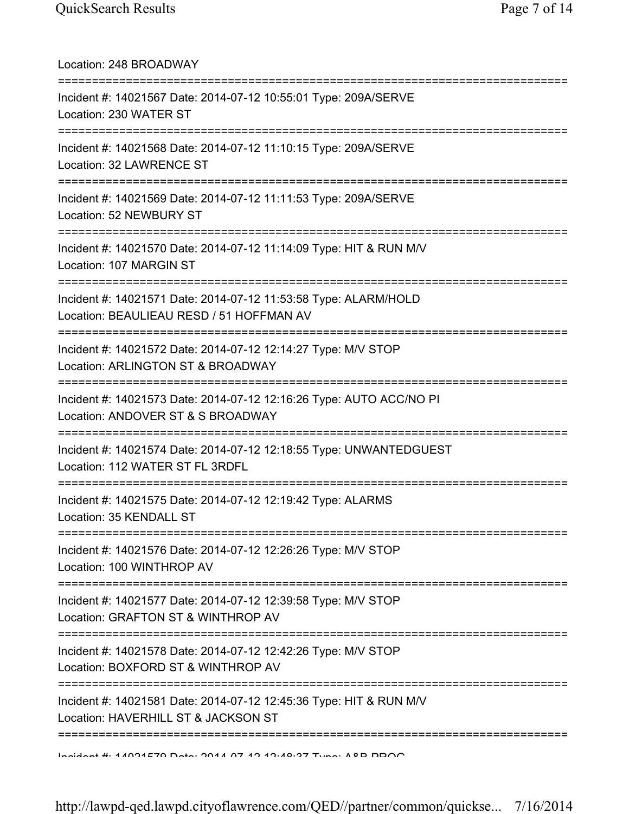| Location: 248 BROADWAY                                                                                                |
|-----------------------------------------------------------------------------------------------------------------------|
| Incident #: 14021567 Date: 2014-07-12 10:55:01 Type: 209A/SERVE<br>Location: 230 WATER ST                             |
| Incident #: 14021568 Date: 2014-07-12 11:10:15 Type: 209A/SERVE<br>Location: 32 LAWRENCE ST<br>====================== |
| Incident #: 14021569 Date: 2014-07-12 11:11:53 Type: 209A/SERVE<br>Location: 52 NEWBURY ST                            |
| Incident #: 14021570 Date: 2014-07-12 11:14:09 Type: HIT & RUN M/V<br>Location: 107 MARGIN ST                         |
| Incident #: 14021571 Date: 2014-07-12 11:53:58 Type: ALARM/HOLD<br>Location: BEAULIEAU RESD / 51 HOFFMAN AV           |
| Incident #: 14021572 Date: 2014-07-12 12:14:27 Type: M/V STOP<br>Location: ARLINGTON ST & BROADWAY                    |
| Incident #: 14021573 Date: 2014-07-12 12:16:26 Type: AUTO ACC/NO PI<br>Location: ANDOVER ST & S BROADWAY              |
| Incident #: 14021574 Date: 2014-07-12 12:18:55 Type: UNWANTEDGUEST<br>Location: 112 WATER ST FL 3RDFL                 |
| Incident #: 14021575 Date: 2014-07-12 12:19:42 Type: ALARMS<br>Location: 35 KENDALL ST                                |
| Incident #: 14021576 Date: 2014-07-12 12:26:26 Type: M/V STOP<br>Location: 100 WINTHROP AV                            |
| Incident #: 14021577 Date: 2014-07-12 12:39:58 Type: M/V STOP<br>Location: GRAFTON ST & WINTHROP AV                   |
| Incident #: 14021578 Date: 2014-07-12 12:42:26 Type: M/V STOP<br>Location: BOXFORD ST & WINTHROP AV                   |
| Incident #: 14021581 Date: 2014-07-12 12:45:36 Type: HIT & RUN M/V<br>Location: HAVERHILL ST & JACKSON ST             |
| <u>Indident #: 11001570 Deta: 0011 07 10 10:10:07 Tune: AOD DDOO</u>                                                  |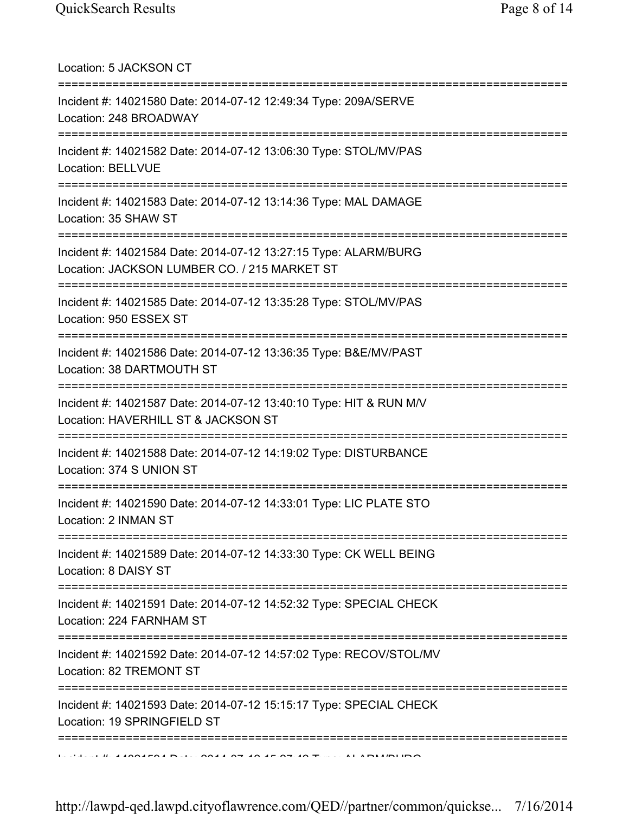Location: 5 JACKSON CT =========================================================================== Incident #: 14021580 Date: 2014-07-12 12:49:34 Type: 209A/SERVE Location: 248 BROADWAY =========================================================================== Incident #: 14021582 Date: 2014-07-12 13:06:30 Type: STOL/MV/PAS Location: BELLVUE =========================================================================== Incident #: 14021583 Date: 2014-07-12 13:14:36 Type: MAL DAMAGE Location: 35 SHAW ST =========================================================================== Incident #: 14021584 Date: 2014-07-12 13:27:15 Type: ALARM/BURG Location: JACKSON LUMBER CO. / 215 MARKET ST =========================================================================== Incident #: 14021585 Date: 2014-07-12 13:35:28 Type: STOL/MV/PAS Location: 950 ESSEX ST =========================================================================== Incident #: 14021586 Date: 2014-07-12 13:36:35 Type: B&E/MV/PAST Location: 38 DARTMOUTH ST =========================================================================== Incident #: 14021587 Date: 2014-07-12 13:40:10 Type: HIT & RUN M/V Location: HAVERHILL ST & JACKSON ST =========================================================================== Incident #: 14021588 Date: 2014-07-12 14:19:02 Type: DISTURBANCE Location: 374 S UNION ST =========================================================================== Incident #: 14021590 Date: 2014-07-12 14:33:01 Type: LIC PLATE STO Location: 2 INMAN ST =========================================================================== Incident #: 14021589 Date: 2014-07-12 14:33:30 Type: CK WELL BEING Location: 8 DAISY ST =========================================================================== Incident #: 14021591 Date: 2014-07-12 14:52:32 Type: SPECIAL CHECK Location: 224 FARNHAM ST =========================================================================== Incident #: 14021592 Date: 2014-07-12 14:57:02 Type: RECOV/STOL/MV Location: 82 TREMONT ST =========================================================================== Incident #: 14021593 Date: 2014-07-12 15:15:17 Type: SPECIAL CHECK Location: 19 SPRINGFIELD ST ===========================================================================  $10.41004594$  Define  $2044.07$  40.45.07.40 Type: ALARM/BURG

http://lawpd-qed.lawpd.cityoflawrence.com/QED//partner/common/quickse... 7/16/2014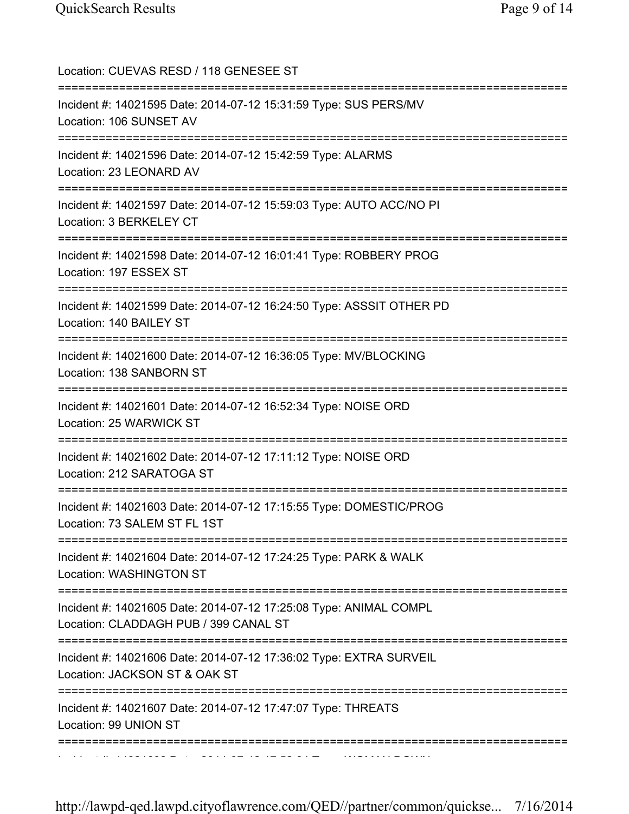| Location: CUEVAS RESD / 118 GENESEE ST<br>======================================                                                                           |
|------------------------------------------------------------------------------------------------------------------------------------------------------------|
| Incident #: 14021595 Date: 2014-07-12 15:31:59 Type: SUS PERS/MV<br>Location: 106 SUNSET AV                                                                |
| Incident #: 14021596 Date: 2014-07-12 15:42:59 Type: ALARMS<br>Location: 23 LEONARD AV                                                                     |
| Incident #: 14021597 Date: 2014-07-12 15:59:03 Type: AUTO ACC/NO PI<br>Location: 3 BERKELEY CT                                                             |
| Incident #: 14021598 Date: 2014-07-12 16:01:41 Type: ROBBERY PROG<br>Location: 197 ESSEX ST                                                                |
| Incident #: 14021599 Date: 2014-07-12 16:24:50 Type: ASSSIT OTHER PD<br>Location: 140 BAILEY ST                                                            |
| Incident #: 14021600 Date: 2014-07-12 16:36:05 Type: MV/BLOCKING<br>Location: 138 SANBORN ST                                                               |
| Incident #: 14021601 Date: 2014-07-12 16:52:34 Type: NOISE ORD<br>Location: 25 WARWICK ST                                                                  |
| Incident #: 14021602 Date: 2014-07-12 17:11:12 Type: NOISE ORD<br>Location: 212 SARATOGA ST                                                                |
| Incident #: 14021603 Date: 2014-07-12 17:15:55 Type: DOMESTIC/PROG<br>Location: 73 SALEM ST FL 1ST                                                         |
| Incident #: 14021604 Date: 2014-07-12 17:24:25 Type: PARK & WALK<br>Location: WASHINGTON ST                                                                |
| ------------<br>Incident #: 14021605 Date: 2014-07-12 17:25:08 Type: ANIMAL COMPL<br>Location: CLADDAGH PUB / 399 CANAL ST<br>============================ |
| Incident #: 14021606 Date: 2014-07-12 17:36:02 Type: EXTRA SURVEIL<br>Location: JACKSON ST & OAK ST                                                        |
| Incident #: 14021607 Date: 2014-07-12 17:47:07 Type: THREATS<br>Location: 99 UNION ST                                                                      |
|                                                                                                                                                            |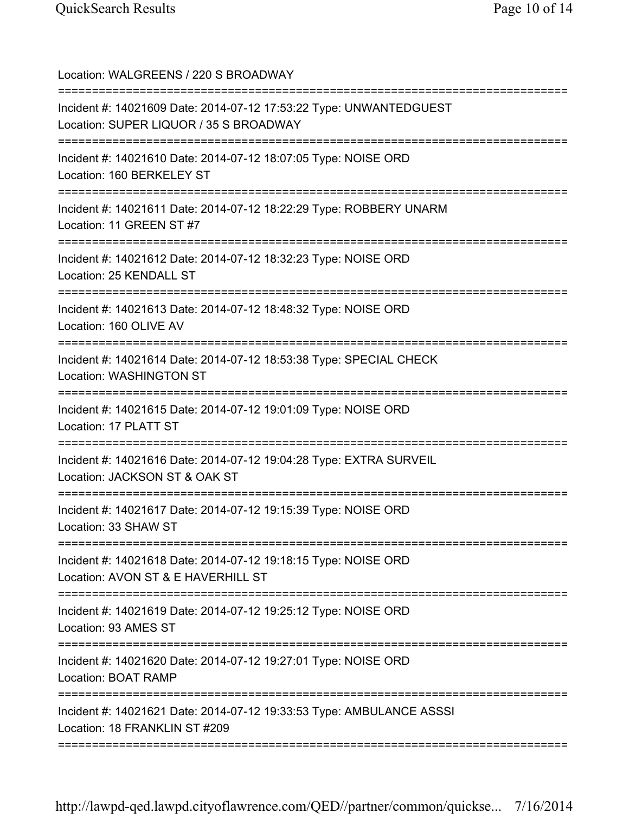Location: WALGREENS / 220 S BROADWAY =========================================================================== Incident #: 14021609 Date: 2014-07-12 17:53:22 Type: UNWANTEDGUEST Location: SUPER LIQUOR / 35 S BROADWAY =========================================================================== Incident #: 14021610 Date: 2014-07-12 18:07:05 Type: NOISE ORD Location: 160 BERKELEY ST =========================================================================== Incident #: 14021611 Date: 2014-07-12 18:22:29 Type: ROBBERY UNARM Location: 11 GREEN ST #7 =========================================================================== Incident #: 14021612 Date: 2014-07-12 18:32:23 Type: NOISE ORD Location: 25 KENDALL ST =========================================================================== Incident #: 14021613 Date: 2014-07-12 18:48:32 Type: NOISE ORD Location: 160 OLIVE AV =========================================================================== Incident #: 14021614 Date: 2014-07-12 18:53:38 Type: SPECIAL CHECK Location: WASHINGTON ST =========================================================================== Incident #: 14021615 Date: 2014-07-12 19:01:09 Type: NOISE ORD Location: 17 PLATT ST =========================================================================== Incident #: 14021616 Date: 2014-07-12 19:04:28 Type: EXTRA SURVEIL Location: JACKSON ST & OAK ST =========================================================================== Incident #: 14021617 Date: 2014-07-12 19:15:39 Type: NOISE ORD Location: 33 SHAW ST =========================================================================== Incident #: 14021618 Date: 2014-07-12 19:18:15 Type: NOISE ORD Location: AVON ST & E HAVERHILL ST =========================================================================== Incident #: 14021619 Date: 2014-07-12 19:25:12 Type: NOISE ORD Location: 93 AMES ST =========================================================================== Incident #: 14021620 Date: 2014-07-12 19:27:01 Type: NOISE ORD Location: BOAT RAMP =========================================================================== Incident #: 14021621 Date: 2014-07-12 19:33:53 Type: AMBULANCE ASSSI Location: 18 FRANKLIN ST #209 ===========================================================================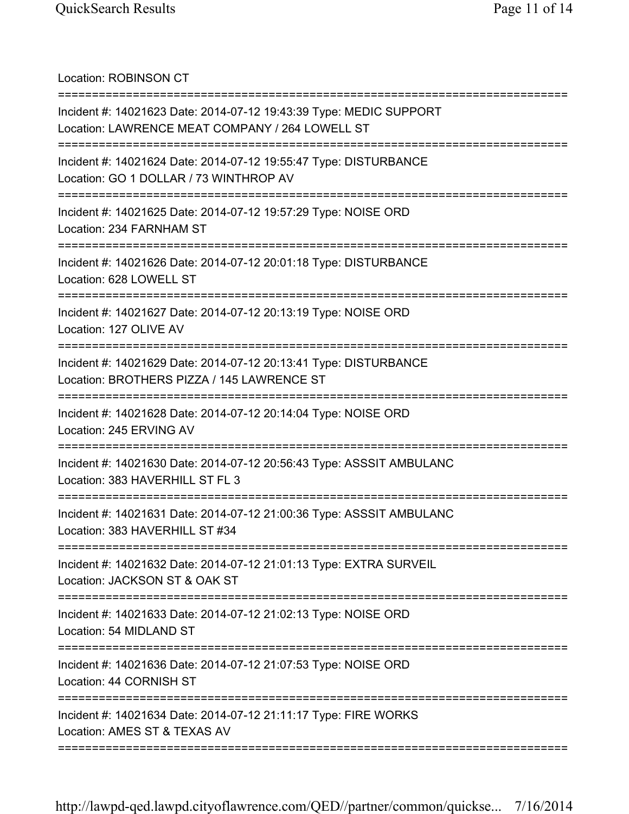Location: ROBINSON CT =========================================================================== Incident #: 14021623 Date: 2014-07-12 19:43:39 Type: MEDIC SUPPORT Location: LAWRENCE MEAT COMPANY / 264 LOWELL ST =========================================================================== Incident #: 14021624 Date: 2014-07-12 19:55:47 Type: DISTURBANCE Location: GO 1 DOLLAR / 73 WINTHROP AV =========================================================================== Incident #: 14021625 Date: 2014-07-12 19:57:29 Type: NOISE ORD Location: 234 FARNHAM ST =========================================================================== Incident #: 14021626 Date: 2014-07-12 20:01:18 Type: DISTURBANCE Location: 628 LOWELL ST =========================================================================== Incident #: 14021627 Date: 2014-07-12 20:13:19 Type: NOISE ORD Location: 127 OLIVE AV =========================================================================== Incident #: 14021629 Date: 2014-07-12 20:13:41 Type: DISTURBANCE Location: BROTHERS PIZZA / 145 LAWRENCE ST =========================================================================== Incident #: 14021628 Date: 2014-07-12 20:14:04 Type: NOISE ORD Location: 245 ERVING AV =========================================================================== Incident #: 14021630 Date: 2014-07-12 20:56:43 Type: ASSSIT AMBULANC Location: 383 HAVERHILL ST FL 3 =========================================================================== Incident #: 14021631 Date: 2014-07-12 21:00:36 Type: ASSSIT AMBULANC Location: 383 HAVERHILL ST #34 =========================================================================== Incident #: 14021632 Date: 2014-07-12 21:01:13 Type: EXTRA SURVEIL Location: JACKSON ST & OAK ST =========================================================================== Incident #: 14021633 Date: 2014-07-12 21:02:13 Type: NOISE ORD Location: 54 MIDLAND ST =========================================================================== Incident #: 14021636 Date: 2014-07-12 21:07:53 Type: NOISE ORD Location: 44 CORNISH ST =========================================================================== Incident #: 14021634 Date: 2014-07-12 21:11:17 Type: FIRE WORKS Location: AMES ST & TEXAS AV ===========================================================================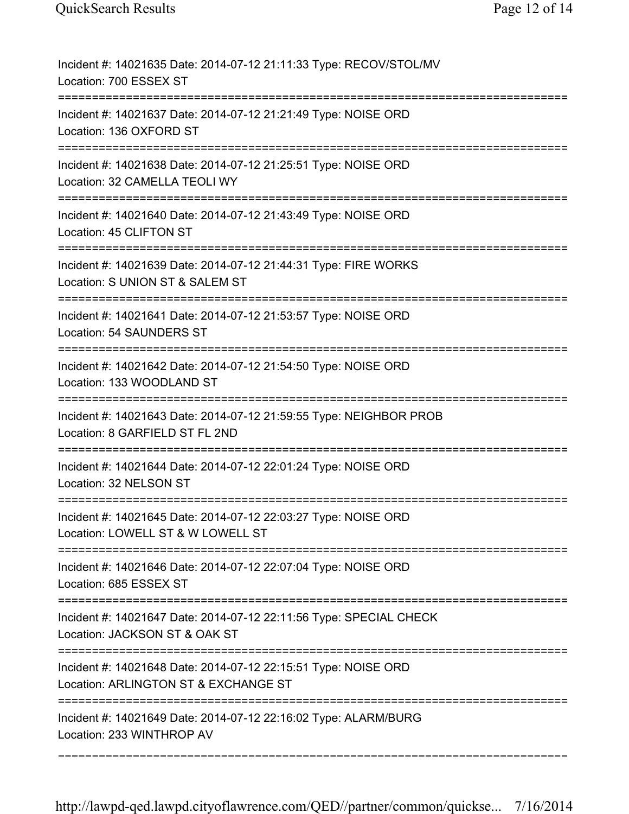| Incident #: 14021635 Date: 2014-07-12 21:11:33 Type: RECOV/STOL/MV<br>Location: 700 ESSEX ST                            |
|-------------------------------------------------------------------------------------------------------------------------|
| Incident #: 14021637 Date: 2014-07-12 21:21:49 Type: NOISE ORD<br>Location: 136 OXFORD ST<br>-----------                |
| Incident #: 14021638 Date: 2014-07-12 21:25:51 Type: NOISE ORD<br>Location: 32 CAMELLA TEOLI WY                         |
| Incident #: 14021640 Date: 2014-07-12 21:43:49 Type: NOISE ORD<br>Location: 45 CLIFTON ST                               |
| Incident #: 14021639 Date: 2014-07-12 21:44:31 Type: FIRE WORKS<br>Location: S UNION ST & SALEM ST                      |
| Incident #: 14021641 Date: 2014-07-12 21:53:57 Type: NOISE ORD<br>Location: 54 SAUNDERS ST<br>------------------------- |
| Incident #: 14021642 Date: 2014-07-12 21:54:50 Type: NOISE ORD<br>Location: 133 WOODLAND ST                             |
| Incident #: 14021643 Date: 2014-07-12 21:59:55 Type: NEIGHBOR PROB<br>Location: 8 GARFIELD ST FL 2ND                    |
| Incident #: 14021644 Date: 2014-07-12 22:01:24 Type: NOISE ORD<br>Location: 32 NELSON ST                                |
| Incident #: 14021645 Date: 2014-07-12 22:03:27 Type: NOISE ORD<br>Location: LOWELL ST & W LOWELL ST                     |
| Incident #: 14021646 Date: 2014-07-12 22:07:04 Type: NOISE ORD<br>Location: 685 ESSEX ST                                |
| Incident #: 14021647 Date: 2014-07-12 22:11:56 Type: SPECIAL CHECK<br>Location: JACKSON ST & OAK ST                     |
| Incident #: 14021648 Date: 2014-07-12 22:15:51 Type: NOISE ORD<br>Location: ARLINGTON ST & EXCHANGE ST                  |
| Incident #: 14021649 Date: 2014-07-12 22:16:02 Type: ALARM/BURG<br>Location: 233 WINTHROP AV                            |

===========================================================================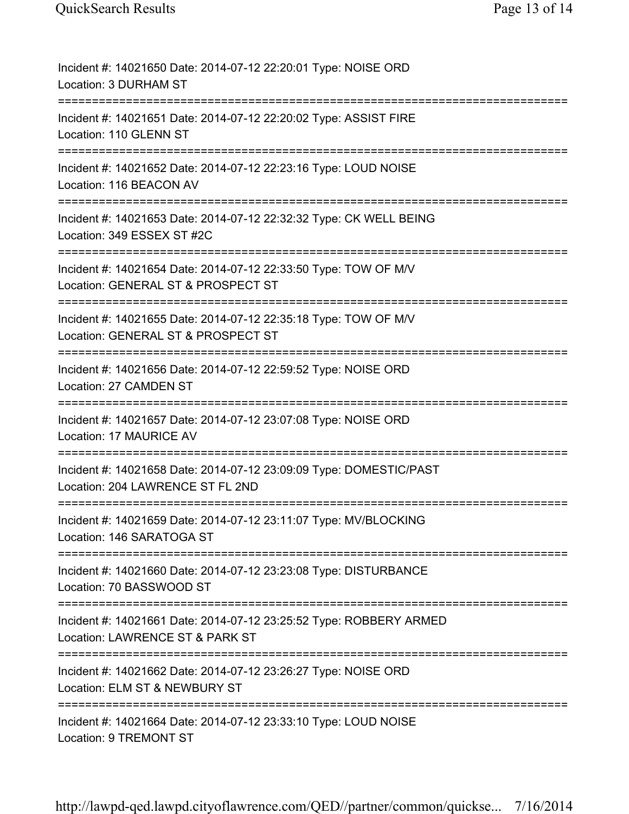| Incident #: 14021650 Date: 2014-07-12 22:20:01 Type: NOISE ORD<br>Location: 3 DURHAM ST                                  |
|--------------------------------------------------------------------------------------------------------------------------|
| Incident #: 14021651 Date: 2014-07-12 22:20:02 Type: ASSIST FIRE<br>Location: 110 GLENN ST                               |
| Incident #: 14021652 Date: 2014-07-12 22:23:16 Type: LOUD NOISE<br>Location: 116 BEACON AV                               |
| Incident #: 14021653 Date: 2014-07-12 22:32:32 Type: CK WELL BEING<br>Location: 349 ESSEX ST #2C<br>==================== |
| Incident #: 14021654 Date: 2014-07-12 22:33:50 Type: TOW OF M/V<br>Location: GENERAL ST & PROSPECT ST                    |
| Incident #: 14021655 Date: 2014-07-12 22:35:18 Type: TOW OF M/V<br>Location: GENERAL ST & PROSPECT ST                    |
| Incident #: 14021656 Date: 2014-07-12 22:59:52 Type: NOISE ORD<br>Location: 27 CAMDEN ST                                 |
| Incident #: 14021657 Date: 2014-07-12 23:07:08 Type: NOISE ORD<br>Location: 17 MAURICE AV                                |
| Incident #: 14021658 Date: 2014-07-12 23:09:09 Type: DOMESTIC/PAST<br>Location: 204 LAWRENCE ST FL 2ND                   |
| Incident #: 14021659 Date: 2014-07-12 23:11:07 Type: MV/BLOCKING<br>Location: 146 SARATOGA ST                            |
| Incident #: 14021660 Date: 2014-07-12 23:23:08 Type: DISTURBANCE<br>Location: 70 BASSWOOD ST                             |
| Incident #: 14021661 Date: 2014-07-12 23:25:52 Type: ROBBERY ARMED<br>Location: LAWRENCE ST & PARK ST                    |
| Incident #: 14021662 Date: 2014-07-12 23:26:27 Type: NOISE ORD<br>Location: ELM ST & NEWBURY ST                          |
| Incident #: 14021664 Date: 2014-07-12 23:33:10 Type: LOUD NOISE<br>Location: 9 TREMONT ST                                |